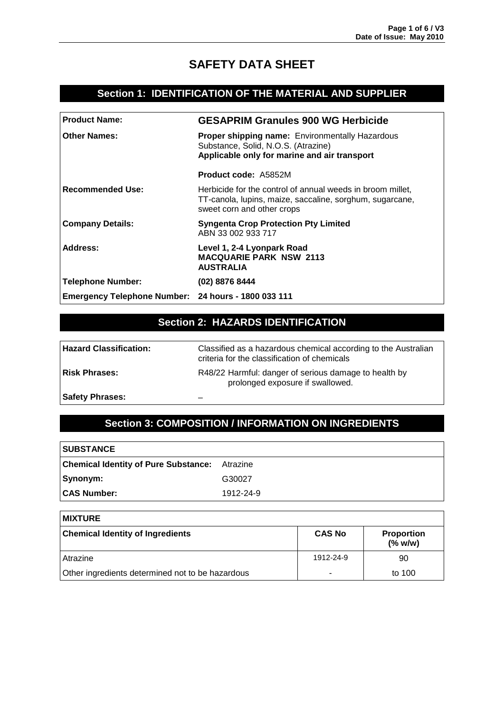# **SAFETY DATA SHEET**

### **Section 1: IDENTIFICATION OF THE MATERIAL AND SUPPLIER**

| <b>Product Name:</b>                                | <b>GESAPRIM Granules 900 WG Herbicide</b>                                                                                                            |  |
|-----------------------------------------------------|------------------------------------------------------------------------------------------------------------------------------------------------------|--|
| <b>Other Names:</b>                                 | <b>Proper shipping name: Environmentally Hazardous</b><br>Substance, Solid, N.O.S. (Atrazine)<br>Applicable only for marine and air transport        |  |
|                                                     | <b>Product code: A5852M</b>                                                                                                                          |  |
| <b>Recommended Use:</b>                             | Herbicide for the control of annual weeds in broom millet,<br>TT-canola, lupins, maize, saccaline, sorghum, sugarcane,<br>sweet corn and other crops |  |
| <b>Company Details:</b>                             | <b>Syngenta Crop Protection Pty Limited</b><br>ABN 33 002 933 717                                                                                    |  |
| Address:                                            | Level 1, 2-4 Lyonpark Road<br><b>MACQUARIE PARK NSW 2113</b><br><b>AUSTRALIA</b>                                                                     |  |
| <b>Telephone Number:</b>                            | (02) 8876 8444                                                                                                                                       |  |
| Emergency Telephone Number: 24 hours - 1800 033 111 |                                                                                                                                                      |  |
|                                                     |                                                                                                                                                      |  |

### **Section 2: HAZARDS IDENTIFICATION**

| <b>Hazard Classification:</b> | Classified as a hazardous chemical according to the Australian<br>criteria for the classification of chemicals |
|-------------------------------|----------------------------------------------------------------------------------------------------------------|
| <b>Risk Phrases:</b>          | R48/22 Harmful: danger of serious damage to health by<br>prolonged exposure if swallowed.                      |
| <b>Safety Phrases:</b>        |                                                                                                                |

## **Section 3: COMPOSITION / INFORMATION ON INGREDIENTS**

| <b>SUBSTANCE</b>                            |           |
|---------------------------------------------|-----------|
| <b>Chemical Identity of Pure Substance:</b> | Atrazine  |
| Synonym:                                    | G30027    |
| <b>CAS Number:</b>                          | 1912-24-9 |

| <b>MIXTURE</b>                                   |               |                              |
|--------------------------------------------------|---------------|------------------------------|
| <b>Chemical Identity of Ingredients</b>          | <b>CAS No</b> | <b>Proportion</b><br>(% w/w) |
| Atrazine                                         | 1912-24-9     | 90                           |
| Other ingredients determined not to be hazardous | ٠             | to 100                       |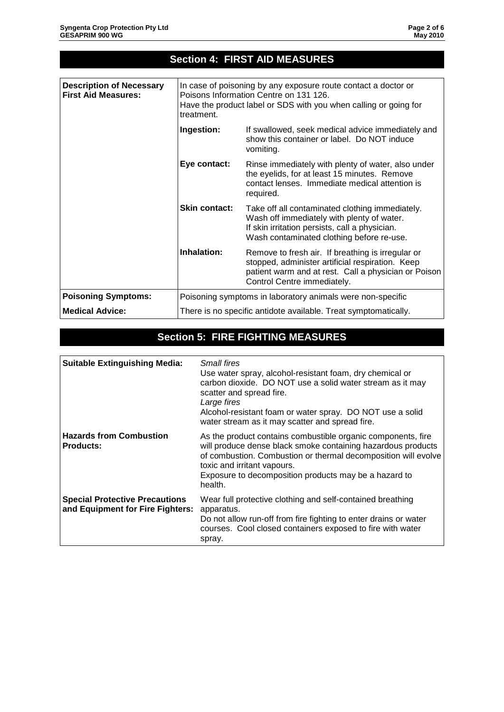|                                                               |                      | <b>Section 4: FIRST AID MEASURES</b>                                                                                                                                                         |  |
|---------------------------------------------------------------|----------------------|----------------------------------------------------------------------------------------------------------------------------------------------------------------------------------------------|--|
|                                                               |                      |                                                                                                                                                                                              |  |
| <b>Description of Necessary</b><br><b>First Aid Measures:</b> | treatment.           | In case of poisoning by any exposure route contact a doctor or<br>Poisons Information Centre on 131 126.<br>Have the product label or SDS with you when calling or going for                 |  |
|                                                               | Ingestion:           | If swallowed, seek medical advice immediately and<br>show this container or label. Do NOT induce<br>vomiting.                                                                                |  |
|                                                               | Eye contact:         | Rinse immediately with plenty of water, also under<br>the eyelids, for at least 15 minutes. Remove<br>contact lenses. Immediate medical attention is<br>required.                            |  |
|                                                               | <b>Skin contact:</b> | Take off all contaminated clothing immediately.<br>Wash off immediately with plenty of water.<br>If skin irritation persists, call a physician.<br>Wash contaminated clothing before re-use. |  |
|                                                               | Inhalation:          | Remove to fresh air. If breathing is irregular or<br>stopped, administer artificial respiration. Keep<br>patient warm and at rest. Call a physician or Poison<br>Control Centre immediately. |  |
| <b>Poisoning Symptoms:</b>                                    |                      | Poisoning symptoms in laboratory animals were non-specific                                                                                                                                   |  |
| <b>Medical Advice:</b>                                        |                      | There is no specific antidote available. Treat symptomatically.                                                                                                                              |  |

# **Section 5: FIRE FIGHTING MEASURES**

| <b>Suitable Extinguishing Media:</b>                                      | Small fires<br>Use water spray, alcohol-resistant foam, dry chemical or<br>carbon dioxide. DO NOT use a solid water stream as it may<br>scatter and spread fire.<br>Large fires<br>Alcohol-resistant foam or water spray. DO NOT use a solid<br>water stream as it may scatter and spread fire.   |
|---------------------------------------------------------------------------|---------------------------------------------------------------------------------------------------------------------------------------------------------------------------------------------------------------------------------------------------------------------------------------------------|
| <b>Hazards from Combustion</b><br><b>Products:</b>                        | As the product contains combustible organic components, fire<br>will produce dense black smoke containing hazardous products<br>of combustion. Combustion or thermal decomposition will evolve<br>toxic and irritant vapours.<br>Exposure to decomposition products may be a hazard to<br>health. |
| <b>Special Protective Precautions</b><br>and Equipment for Fire Fighters: | Wear full protective clothing and self-contained breathing<br>apparatus.<br>Do not allow run-off from fire fighting to enter drains or water<br>courses. Cool closed containers exposed to fire with water<br>spray.                                                                              |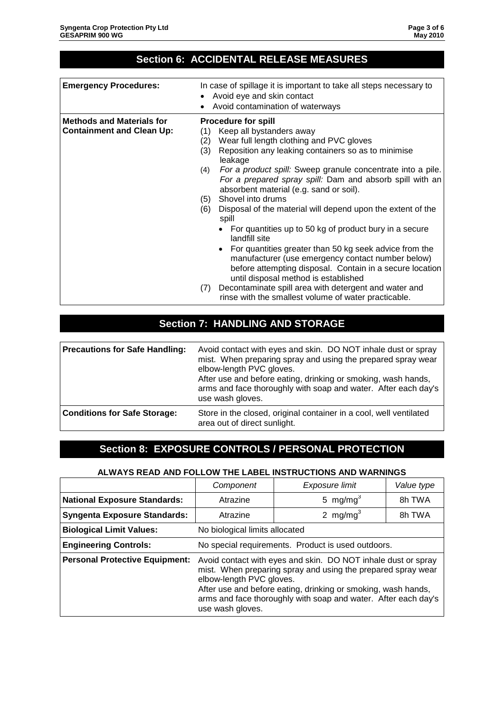## **Section 6: ACCIDENTAL RELEASE MEASURES**

| <b>Emergency Procedures:</b>                                         | In case of spillage it is important to take all steps necessary to<br>Avoid eye and skin contact<br>Avoid contamination of waterways                                                                                                                                                                                                                                                                                                                                                                                                                                                                                                                                                                                                                                                                                                                                                                        |
|----------------------------------------------------------------------|-------------------------------------------------------------------------------------------------------------------------------------------------------------------------------------------------------------------------------------------------------------------------------------------------------------------------------------------------------------------------------------------------------------------------------------------------------------------------------------------------------------------------------------------------------------------------------------------------------------------------------------------------------------------------------------------------------------------------------------------------------------------------------------------------------------------------------------------------------------------------------------------------------------|
| <b>Methods and Materials for</b><br><b>Containment and Clean Up:</b> | <b>Procedure for spill</b><br>Keep all bystanders away<br>(1)<br>Wear full length clothing and PVC gloves<br>(2)<br>Reposition any leaking containers so as to minimise<br>(3)<br>leakage<br>For a product spill: Sweep granule concentrate into a pile.<br>(4)<br>For a prepared spray spill: Dam and absorb spill with an<br>absorbent material (e.g. sand or soil).<br>Shovel into drums<br>(5)<br>Disposal of the material will depend upon the extent of the<br>(6)<br>spill<br>• For quantities up to 50 kg of product bury in a secure<br>landfill site<br>• For quantities greater than 50 kg seek advice from the<br>manufacturer (use emergency contact number below)<br>before attempting disposal. Contain in a secure location<br>until disposal method is established<br>Decontaminate spill area with detergent and water and<br>(7)<br>rinse with the smallest volume of water practicable. |

## **Section 7: HANDLING AND STORAGE**

| <b>Precautions for Safe Handling:</b> | Avoid contact with eyes and skin. DO NOT inhale dust or spray<br>mist. When preparing spray and using the prepared spray wear<br>elbow-length PVC gloves.<br>After use and before eating, drinking or smoking, wash hands,<br>arms and face thoroughly with soap and water. After each day's<br>use wash gloves. |
|---------------------------------------|------------------------------------------------------------------------------------------------------------------------------------------------------------------------------------------------------------------------------------------------------------------------------------------------------------------|
| <b>Conditions for Safe Storage:</b>   | Store in the closed, original container in a cool, well ventilated<br>area out of direct sunlight.                                                                                                                                                                                                               |

### **Section 8: EXPOSURE CONTROLS / PERSONAL PROTECTION**

#### **ALWAYS READ AND FOLLOW THE LABEL INSTRUCTIONS AND WARNINGS**

|                                       | Component                                                                                                                                                                                                                                                                                                        | Exposure limit | Value type |
|---------------------------------------|------------------------------------------------------------------------------------------------------------------------------------------------------------------------------------------------------------------------------------------------------------------------------------------------------------------|----------------|------------|
| <b>National Exposure Standards:</b>   | Atrazine                                                                                                                                                                                                                                                                                                         | 5 mg/mg $^3$   | 8h TWA     |
| <b>Syngenta Exposure Standards:</b>   | 2 mg/mg $^3$<br>8h TWA<br>Atrazine                                                                                                                                                                                                                                                                               |                |            |
| <b>Biological Limit Values:</b>       | No biological limits allocated                                                                                                                                                                                                                                                                                   |                |            |
| <b>Engineering Controls:</b>          | No special requirements. Product is used outdoors.                                                                                                                                                                                                                                                               |                |            |
| <b>Personal Protective Equipment:</b> | Avoid contact with eyes and skin. DO NOT inhale dust or spray<br>mist. When preparing spray and using the prepared spray wear<br>elbow-length PVC gloves.<br>After use and before eating, drinking or smoking, wash hands,<br>arms and face thoroughly with soap and water. After each day's<br>use wash gloves. |                |            |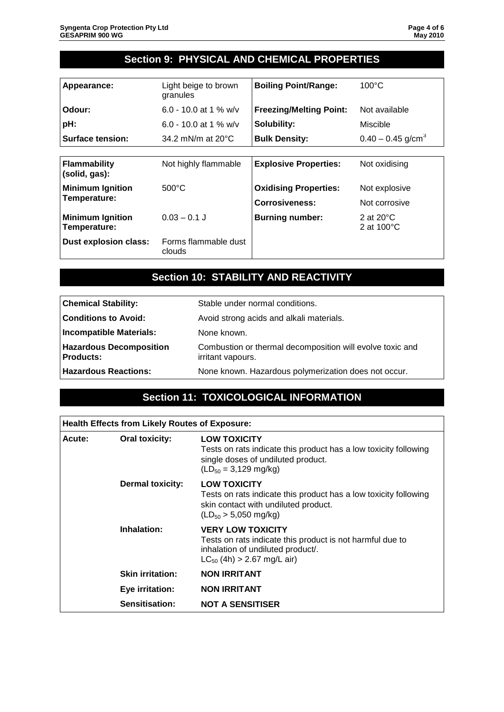### **Section 9: PHYSICAL AND CHEMICAL PROPERTIES**

| Appearance:                             | Light beige to brown<br>granules | <b>Boiling Point/Range:</b>    | $100^{\circ}$ C                             |
|-----------------------------------------|----------------------------------|--------------------------------|---------------------------------------------|
| Odour:                                  | 6.0 - 10.0 at 1 % w/v            | <b>Freezing/Melting Point:</b> | Not available                               |
| pH:                                     | 6.0 - 10.0 at 1 % w/v            | Solubility:                    | Miscible                                    |
| <b>Surface tension:</b>                 | 34.2 mN/m at $20^{\circ}$ C      | <b>Bulk Density:</b>           | $0.40 - 0.45$ g/cm <sup>3</sup>             |
|                                         |                                  |                                |                                             |
| Flammability<br>(solid, gas):           | Not highly flammable             | <b>Explosive Properties:</b>   | Not oxidising                               |
| <b>Minimum Ignition</b>                 | $500^{\circ}$ C                  | <b>Oxidising Properties:</b>   | Not explosive                               |
| Temperature:                            |                                  | <b>Corrosiveness:</b>          | Not corrosive                               |
| <b>Minimum Ignition</b><br>Temperature: | $0.03 - 0.1$ J                   | <b>Burning number:</b>         | 2 at $20^{\circ}$ C<br>2 at $100^{\circ}$ C |
| <b>Dust explosion class:</b>            | Forms flammable dust<br>clouds   |                                |                                             |

## **Section 10: STABILITY AND REACTIVITY**

| <b>Chemical Stability:</b>                         | Stable under normal conditions.                                                |
|----------------------------------------------------|--------------------------------------------------------------------------------|
| Conditions to Avoid:                               | Avoid strong acids and alkali materials.                                       |
| <b>Incompatible Materials:</b>                     | None known.                                                                    |
| <b>Hazardous Decomposition</b><br><b>Products:</b> | Combustion or thermal decomposition will evolve toxic and<br>irritant vapours. |
| <b>Hazardous Reactions:</b>                        | None known. Hazardous polymerization does not occur.                           |

### **Section 11: TOXICOLOGICAL INFORMATION**

| <b>Health Effects from Likely Routes of Exposure:</b> |                         |                                                                                                                                                                    |
|-------------------------------------------------------|-------------------------|--------------------------------------------------------------------------------------------------------------------------------------------------------------------|
| Acute:                                                | <b>Oral toxicity:</b>   | <b>LOW TOXICITY</b><br>Tests on rats indicate this product has a low toxicity following<br>single doses of undiluted product.<br>$(LD_{50} = 3,129 \text{ mg/kg})$ |
|                                                       | <b>Dermal toxicity:</b> | <b>LOW TOXICITY</b><br>Tests on rats indicate this product has a low toxicity following<br>skin contact with undiluted product.<br>$(LD_{50} > 5,050$ mg/kg)       |
|                                                       | Inhalation:             | <b>VERY LOW TOXICITY</b><br>Tests on rats indicate this product is not harmful due to<br>inhalation of undiluted product/.<br>$LC_{50}$ (4h) > 2.67 mg/L air)      |
|                                                       | <b>Skin irritation:</b> | <b>NON IRRITANT</b>                                                                                                                                                |
|                                                       | Eye irritation:         | <b>NON IRRITANT</b>                                                                                                                                                |
|                                                       | Sensitisation:          | <b>NOT A SENSITISER</b>                                                                                                                                            |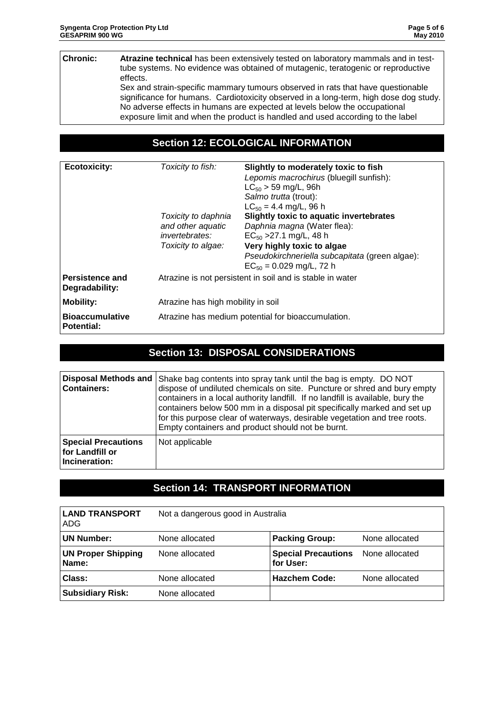#### **Chronic: Atrazine technical** has been extensively tested on laboratory mammals and in testtube systems. No evidence was obtained of mutagenic, teratogenic or reproductive effects.

Sex and strain-specific mammary tumours observed in rats that have questionable significance for humans. Cardiotoxicity observed in a long-term, high dose dog study. No adverse effects in humans are expected at levels below the occupational exposure limit and when the product is handled and used according to the label

#### **Section 12: ECOLOGICAL INFORMATION**

| <b>Ecotoxicity:</b>                         | Toxicity to fish:<br>Toxicity to daphnia<br>and other aquatic<br><i>invertebrates:</i><br>Toxicity to algae: | Slightly to moderately toxic to fish<br>Lepomis macrochirus (bluegill sunfish):<br>$LC_{50}$ > 59 mg/L, 96h<br>Salmo trutta (trout):<br>$LC_{50} = 4.4$ mg/L, 96 h<br><b>Slightly toxic to aquatic invertebrates</b><br>Daphnia magna (Water flea):<br>$EC_{50}$ > 27.1 mg/L, 48 h<br>Very highly toxic to algae<br>Pseudokirchneriella subcapitata (green algae): |  |
|---------------------------------------------|--------------------------------------------------------------------------------------------------------------|--------------------------------------------------------------------------------------------------------------------------------------------------------------------------------------------------------------------------------------------------------------------------------------------------------------------------------------------------------------------|--|
|                                             |                                                                                                              | $EC_{50} = 0.029$ mg/L, 72 h                                                                                                                                                                                                                                                                                                                                       |  |
| Persistence and<br>Degradability:           |                                                                                                              | Atrazine is not persistent in soil and is stable in water                                                                                                                                                                                                                                                                                                          |  |
| <b>Mobility:</b>                            |                                                                                                              | Atrazine has high mobility in soil                                                                                                                                                                                                                                                                                                                                 |  |
| <b>Bioaccumulative</b><br><b>Potential:</b> | Atrazine has medium potential for bioaccumulation.                                                           |                                                                                                                                                                                                                                                                                                                                                                    |  |

### **Section 13: DISPOSAL CONSIDERATIONS**

| <b>Disposal Methods and</b><br><b>Containers:</b>              | Shake bag contents into spray tank until the bag is empty. DO NOT<br>dispose of undiluted chemicals on site. Puncture or shred and bury empty<br>containers in a local authority landfill. If no landfill is available, bury the<br>containers below 500 mm in a disposal pit specifically marked and set up<br>for this purpose clear of waterways, desirable vegetation and tree roots.<br>Empty containers and product should not be burnt. |
|----------------------------------------------------------------|------------------------------------------------------------------------------------------------------------------------------------------------------------------------------------------------------------------------------------------------------------------------------------------------------------------------------------------------------------------------------------------------------------------------------------------------|
| <b>Special Precautions</b><br>for Landfill or<br>Incineration: | Not applicable                                                                                                                                                                                                                                                                                                                                                                                                                                 |

### **Section 14: TRANSPORT INFORMATION**

| <b>LAND TRANSPORT</b><br>ADG       | Not a dangerous good in Australia |                                         |                |
|------------------------------------|-----------------------------------|-----------------------------------------|----------------|
| <b>UN Number:</b>                  | None allocated                    | <b>Packing Group:</b>                   | None allocated |
| <b>UN Proper Shipping</b><br>Name: | None allocated                    | <b>Special Precautions</b><br>for User: | None allocated |
| Class:                             | None allocated                    | <b>Hazchem Code:</b>                    | None allocated |
| <b>Subsidiary Risk:</b>            | None allocated                    |                                         |                |